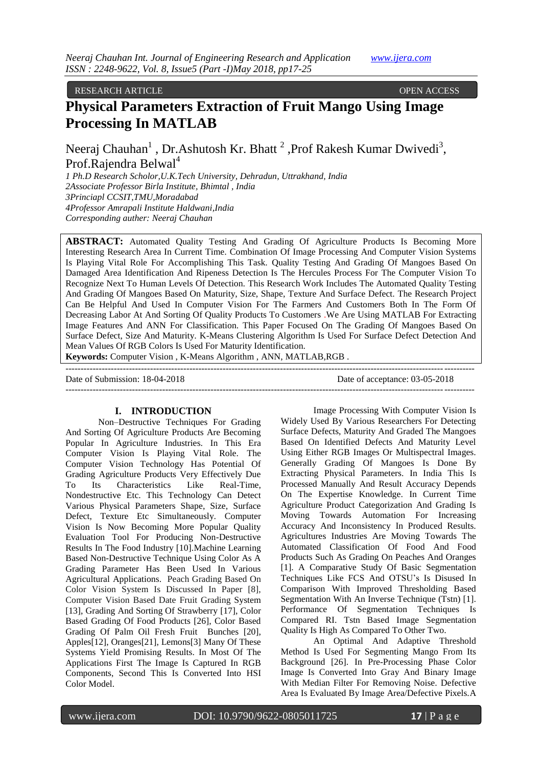# RESEARCH ARTICLE OPEN ACCESS

# **Physical Parameters Extraction of Fruit Mango Using Image Processing In MATLAB**

Neeraj Chauhan<sup>1</sup>, Dr.Ashutosh Kr. Bhatt<sup>2</sup>, Prof Rakesh Kumar Dwivedi<sup>3</sup>, Prof.Rajendra Belwal<sup>4</sup>

*1 Ph.D Research Scholor,U.K.Tech University, Dehradun, Uttrakhand, India 2Associate Professor Birla Institute, Bhimtal , India 3Princiapl CCSIT,TMU,Moradabad 4Professor Amrapali Institute Haldwani,India Corresponding auther: Neeraj Chauhan* 

**ABSTRACT:** Automated Quality Testing And Grading Of Agriculture Products Is Becoming More Interesting Research Area In Current Time. Combination Of Image Processing And Computer Vision Systems Is Playing Vital Role For Accomplishing This Task. Quality Testing And Grading Of Mangoes Based On Damaged Area Identification And Ripeness Detection Is The Hercules Process For The Computer Vision To Recognize Next To Human Levels Of Detection. This Research Work Includes The Automated Quality Testing And Grading Of Mangoes Based On Maturity, Size, Shape, Texture And Surface Defect. The Research Project Can Be Helpful And Used In Computer Vision For The Farmers And Customers Both In The Form Of Decreasing Labor At And Sorting Of Quality Products To Customers .We Are Using MATLAB For Extracting Image Features And ANN For Classification. This Paper Focused On The Grading Of Mangoes Based On Surface Defect, Size And Maturity. K-Means Clustering Algorithm Is Used For Surface Defect Detection And Mean Values Of RGB Colors Is Used For Maturity Identification.

**Keywords:** Computer Vision , K-Means Algorithm , ANN, MATLAB,RGB .

| Date of Submission: 18-04-2018 | Date of acceptance: 03-05-2018 |
|--------------------------------|--------------------------------|
|                                |                                |

#### **I. INTRODUCTION**

Non–Destructive Techniques For Grading And Sorting Of Agriculture Products Are Becoming Popular In Agriculture Industries. In This Era Computer Vision Is Playing Vital Role. The Computer Vision Technology Has Potential Of Grading Agriculture Products Very Effectively Due To Its Characteristics Like Real-Time, Nondestructive Etc. This Technology Can Detect Various Physical Parameters Shape, Size, Surface Defect, Texture Etc Simultaneously. Computer Vision Is Now Becoming More Popular Quality Evaluation Tool For Producing Non-Destructive Results In The Food Industry [10].Machine Learning Based Non-Destructive Technique Using Color As A Grading Parameter Has Been Used In Various Agricultural Applications. Peach Grading Based On Color Vision System Is Discussed In Paper [8], Computer Vision Based Date Fruit Grading System [13], Grading And Sorting Of Strawberry [17], Color Based Grading Of Food Products [26], Color Based Grading Of Palm Oil Fresh Fruit Bunches [20], Apples[12], Oranges[21], Lemons[3] Many Of These Systems Yield Promising Results. In Most Of The Applications First The Image Is Captured In RGB Components, Second This Is Converted Into HSI Color Model.

Image Processing With Computer Vision Is Widely Used By Various Researchers For Detecting Surface Defects, Maturity And Graded The Mangoes Based On Identified Defects And Maturity Level Using Either RGB Images Or Multispectral Images. Generally Grading Of Mangoes Is Done By Extracting Physical Parameters. In India This Is Processed Manually And Result Accuracy Depends On The Expertise Knowledge. In Current Time Agriculture Product Categorization And Grading Is Moving Towards Automation For Increasing Accuracy And Inconsistency In Produced Results. Agricultures Industries Are Moving Towards The Automated Classification Of Food And Food Products Such As Grading On Peaches And Oranges [1]. A Comparative Study Of Basic Segmentation Techniques Like FCS And OTSU"s Is Disused In Comparison With Improved Thresholding Based Segmentation With An Inverse Technique (Tstn) [1]. Performance Of Segmentation Techniques Is Compared RI. Tstn Based Image Segmentation Quality Is High As Compared To Other Two.

An Optimal And Adaptive Threshold Method Is Used For Segmenting Mango From Its Background [26]. In Pre-Processing Phase Color Image Is Converted Into Gray And Binary Image With Median Filter For Removing Noise. Defective Area Is Evaluated By Image Area/Defective Pixels.A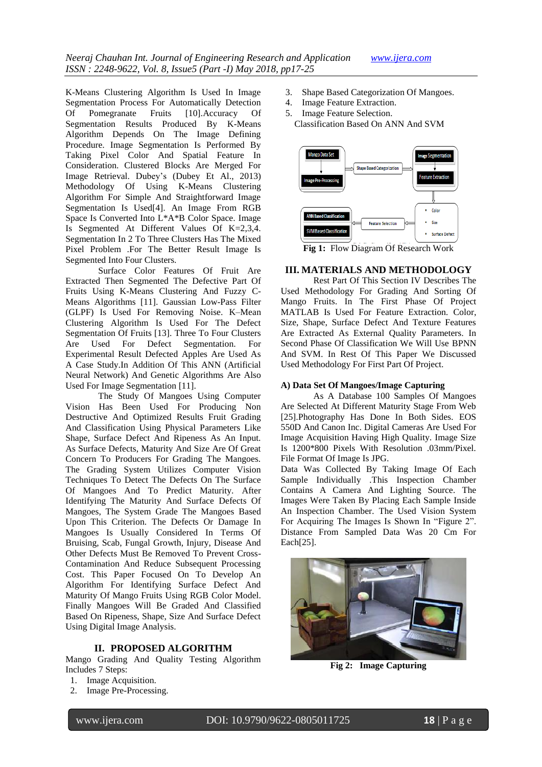K-Means Clustering Algorithm Is Used In Image Segmentation Process For Automatically Detection Of Pomegranate Fruits [10].Accuracy Of Segmentation Results Produced By K-Means Algorithm Depends On The Image Defining Procedure. Image Segmentation Is Performed By Taking Pixel Color And Spatial Feature In Consideration. Clustered Blocks Are Merged For Image Retrieval. Dubey"s (Dubey Et Al., 2013) Methodology Of Using K-Means Clustering Algorithm For Simple And Straightforward Image Segmentation Is Used[4]. An Image From RGB Space Is Converted Into L\*A\*B Color Space. Image Is Segmented At Different Values Of K=2,3,4. Segmentation In 2 To Three Clusters Has The Mixed Pixel Problem .For The Better Result Image Is Segmented Into Four Clusters.

Surface Color Features Of Fruit Are Extracted Then Segmented The Defective Part Of Fruits Using K-Means Clustering And Fuzzy C-Means Algorithms [11]. Gaussian Low-Pass Filter (GLPF) Is Used For Removing Noise. K–Mean Clustering Algorithm Is Used For The Defect Segmentation Of Fruits [13]. Three To Four Clusters<br>Are Used For Defect Segmentation. For Used For Defect Segmentation. For Experimental Result Defected Apples Are Used As A Case Study.In Addition Of This ANN (Artificial Neural Network) And Genetic Algorithms Are Also Used For Image Segmentation [11].

The Study Of Mangoes Using Computer Vision Has Been Used For Producing Non Destructive And Optimized Results Fruit Grading And Classification Using Physical Parameters Like Shape, Surface Defect And Ripeness As An Input. As Surface Defects, Maturity And Size Are Of Great Concern To Producers For Grading The Mangoes. The Grading System Utilizes Computer Vision Techniques To Detect The Defects On The Surface Of Mangoes And To Predict Maturity. After Identifying The Maturity And Surface Defects Of Mangoes, The System Grade The Mangoes Based Upon This Criterion. The Defects Or Damage In Mangoes Is Usually Considered In Terms Of Bruising, Scab, Fungal Growth, Injury, Disease And Other Defects Must Be Removed To Prevent Cross-Contamination And Reduce Subsequent Processing Cost. This Paper Focused On To Develop An Algorithm For Identifying Surface Defect And Maturity Of Mango Fruits Using RGB Color Model. Finally Mangoes Will Be Graded And Classified Based On Ripeness, Shape, Size And Surface Defect Using Digital Image Analysis.

# **II. PROPOSED ALGORITHM**

Mango Grading And Quality Testing Algorithm Includes 7 Steps:

- 1. Image Acquisition.
- 2. Image Pre-Processing.
- 3. Shape Based Categorization Of Mangoes.
- 4. Image Feature Extraction.
- 5. Image Feature Selection.
	- Classification Based On ANN And SVM



**Fig 1:** Flow Diagram Of Research Work

## **III. MATERIALS AND METHODOLOGY**

Rest Part Of This Section IV Describes The Used Methodology For Grading And Sorting Of Mango Fruits. In The First Phase Of Project MATLAB Is Used For Feature Extraction. Color, Size, Shape, Surface Defect And Texture Features Are Extracted As External Quality Parameters. In Second Phase Of Classification We Will Use BPNN And SVM. In Rest Of This Paper We Discussed Used Methodology For First Part Of Project.

# **A) Data Set Of Mangoes/Image Capturing**

As A Database 100 Samples Of Mangoes Are Selected At Different Maturity Stage From Web [25].Photography Has Done In Both Sides. EOS 550D And Canon Inc. Digital Cameras Are Used For Image Acquisition Having High Quality. Image Size Is 1200\*800 Pixels With Resolution .03mm/Pixel. File Format Of Image Is JPG.

Data Was Collected By Taking Image Of Each Sample Individually .This Inspection Chamber Contains A Camera And Lighting Source. The Images Were Taken By Placing Each Sample Inside An Inspection Chamber. The Used Vision System For Acquiring The Images Is Shown In "Figure 2". Distance From Sampled Data Was 20 Cm For Each[25].



**Fig 2: Image Capturing**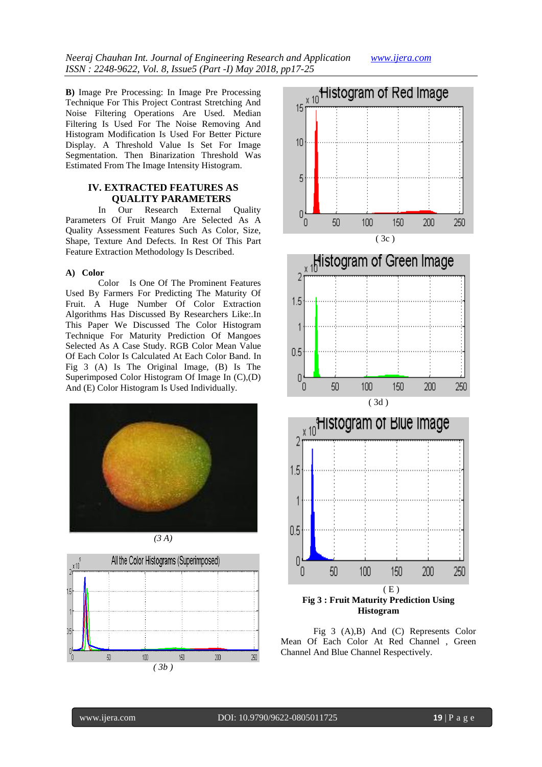**B)** Image Pre Processing: In Image Pre Processing Technique For This Project Contrast Stretching And Noise Filtering Operations Are Used. Median Filtering Is Used For The Noise Removing And Histogram Modification Is Used For Better Picture Display. A Threshold Value Is Set For Image Segmentation. Then Binarization Threshold Was Estimated From The Image Intensity Histogram.

# **IV. EXTRACTED FEATURES AS QUALITY PARAMETERS**

In Our Research External Quality Parameters Of Fruit Mango Are Selected As A Quality Assessment Features Such As Color, Size, Shape, Texture And Defects. In Rest Of This Part Feature Extraction Methodology Is Described.

# **A) Color**

Color Is One Of The Prominent Features Used By Farmers For Predicting The Maturity Of Fruit. A Huge Number Of Color Extraction Algorithms Has Discussed By Researchers Like:.In This Paper We Discussed The Color Histogram Technique For Maturity Prediction Of Mangoes Selected As A Case Study. RGB Color Mean Value Of Each Color Is Calculated At Each Color Band. In Fig 3 (A) Is The Original Image, (B) Is The Superimposed Color Histogram Of Image In (C),(D) And (E) Color Histogram Is Used Individually.











Fig 3 (A),B) And (C) Represents Color Mean Of Each Color At Red Channel , Green Channel And Blue Channel Respectively.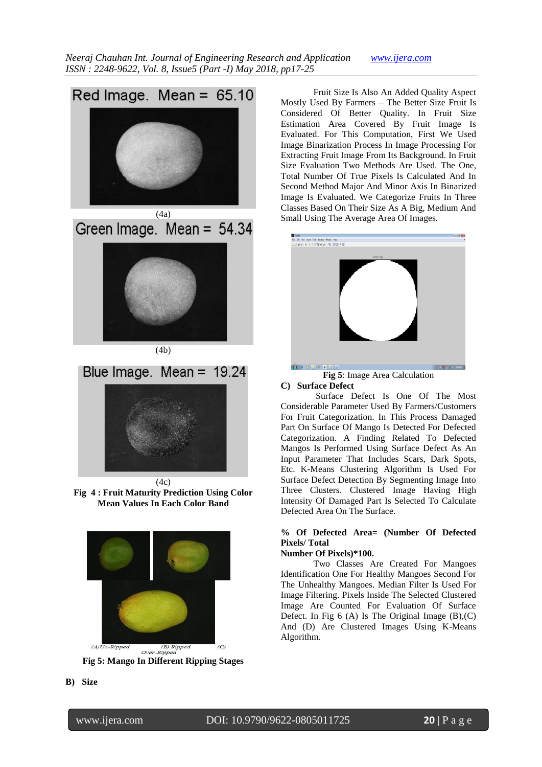

Green Image. Mean = 54.34

(4b)



**Fig 4 : Fruit Maturity Prediction Using Color Mean Values In Each Color Band**



**Fig 5: Mango In Different Ripping Stages**

Fruit Size Is Also An Added Quality Aspect Mostly Used By Farmers – The Better Size Fruit Is Considered Of Better Quality. In Fruit Size Estimation Area Covered By Fruit Image Is Evaluated. For This Computation, First We Used Image Binarization Process In Image Processing For Extracting Fruit Image From Its Background. In Fruit Size Evaluation Two Methods Are Used. The One, Total Number Of True Pixels Is Calculated And In Second Method Major And Minor Axis In Binarized Image Is Evaluated. We Categorize Fruits In Three Classes Based On Their Size As A Big, Medium And Small Using The Average Area Of Images.



#### **Fig 5**: Image Area Calculation **C) Surface Defect**

Surface Defect Is One Of The Most Considerable Parameter Used By Farmers/Customers For Fruit Categorization. In This Process Damaged Part On Surface Of Mango Is Detected For Defected Categorization. A Finding Related To Defected Mangos Is Performed Using Surface Defect As An Input Parameter That Includes Scars, Dark Spots, Etc. K-Means Clustering Algorithm Is Used For Surface Defect Detection By Segmenting Image Into Three Clusters. Clustered Image Having High Intensity Of Damaged Part Is Selected To Calculate Defected Area On The Surface.

# **% Of Defected Area= (Number Of Defected Pixels/ Total**

# **Number Of Pixels)\*100.**

Two Classes Are Created For Mangoes Identification One For Healthy Mangoes Second For The Unhealthy Mangoes. Median Filter Is Used For Image Filtering. Pixels Inside The Selected Clustered Image Are Counted For Evaluation Of Surface Defect. In Fig  $6(A)$  Is The Original Image  $(B)$ ,  $(C)$ And (D) Are Clustered Images Using K-Means Algorithm.

**B) Size**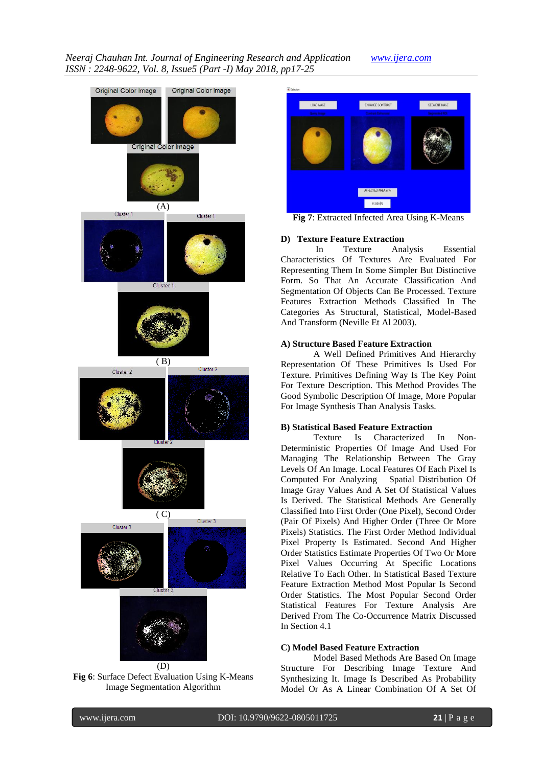# *Neeraj Chauhan Int. Journal of Engineering Research and Application www.ijera.com ISSN : 2248-9622, Vol. 8, Issue5 (Part -I) May 2018, pp17-25*





**Fig 7**: Extracted Infected Area Using K-Means

## **D) Texture Feature Extraction**

In Texture Analysis Essential Characteristics Of Textures Are Evaluated For Representing Them In Some Simpler But Distinctive Form. So That An Accurate Classification And Segmentation Of Objects Can Be Processed. Texture Features Extraction Methods Classified In The Categories As Structural, Statistical, Model-Based And Transform (Neville Et Al 2003).

## **A) Structure Based Feature Extraction**

A Well Defined Primitives And Hierarchy Representation Of These Primitives Is Used For Texture. Primitives Defining Way Is The Key Point For Texture Description. This Method Provides The Good Symbolic Description Of Image, More Popular For Image Synthesis Than Analysis Tasks.

## **B) Statistical Based Feature Extraction**

Texture Is Characterized In Non-Deterministic Properties Of Image And Used For Managing The Relationship Between The Gray Levels Of An Image. Local Features Of Each Pixel Is Computed For Analyzing Spatial Distribution Of Image Gray Values And A Set Of Statistical Values Is Derived. The Statistical Methods Are Generally Classified Into First Order (One Pixel), Second Order (Pair Of Pixels) And Higher Order (Three Or More Pixels) Statistics. The First Order Method Individual Pixel Property Is Estimated. Second And Higher Order Statistics Estimate Properties Of Two Or More Pixel Values Occurring At Specific Locations Relative To Each Other. In Statistical Based Texture Feature Extraction Method Most Popular Is Second Order Statistics. The Most Popular Second Order Statistical Features For Texture Analysis Are Derived From The Co-Occurrence Matrix Discussed In Section 4.1

#### **C) Model Based Feature Extraction**

Model Based Methods Are Based On Image Structure For Describing Image Texture And Synthesizing It. Image Is Described As Probability Model Or As A Linear Combination Of A Set Of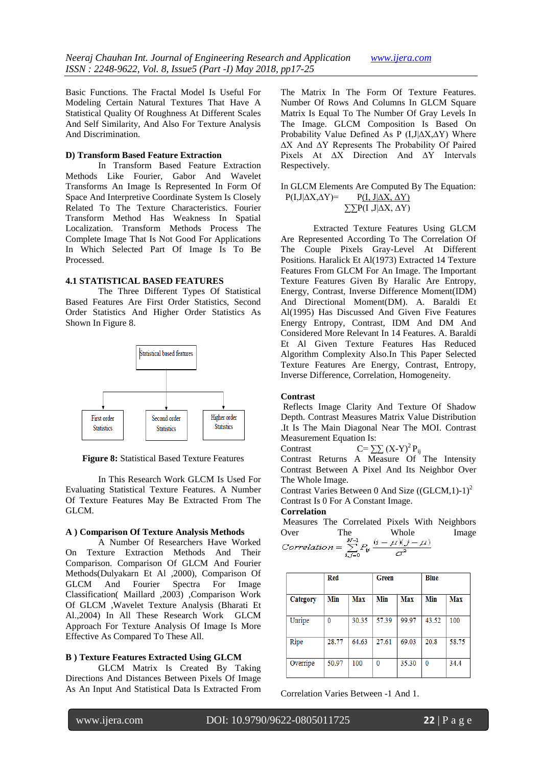Basic Functions. The Fractal Model Is Useful For Modeling Certain Natural Textures That Have A Statistical Quality Of Roughness At Different Scales And Self Similarity, And Also For Texture Analysis And Discrimination.

## **D) Transform Based Feature Extraction**

In Transform Based Feature Extraction Methods Like Fourier, Gabor And Wavelet Transforms An Image Is Represented In Form Of Space And Interpretive Coordinate System Is Closely Related To The Texture Characteristics. Fourier Transform Method Has Weakness In Spatial Localization. Transform Methods Process The Complete Image That Is Not Good For Applications In Which Selected Part Of Image Is To Be Processed.

## **4.1 STATISTICAL BASED FEATURES**

The Three Different Types Of Statistical Based Features Are First Order Statistics, Second Order Statistics And Higher Order Statistics As Shown In Figure 8.



**Figure 8:** Statistical Based Texture Features

In This Research Work GLCM Is Used For Evaluating Statistical Texture Features. A Number Of Texture Features May Be Extracted From The GLCM.

# **A ) Comparison Of Texture Analysis Methods**

A Number Of Researchers Have Worked On Texture Extraction Methods And Their Comparison. Comparison Of GLCM And Fourier Methods(Dulyakarn Et Al ,2000), Comparison Of GLCM And Fourier Spectra For Image Classification( Maillard ,2003) ,Comparison Work Of GLCM ,Wavelet Texture Analysis (Bharati Et Al.,2004) In All These Research Work GLCM Approach For Texture Analysis Of Image Is More Effective As Compared To These All.

# **B ) Texture Features Extracted Using GLCM**

GLCM Matrix Is Created By Taking Directions And Distances Between Pixels Of Image As An Input And Statistical Data Is Extracted From The Matrix In The Form Of Texture Features. Number Of Rows And Columns In GLCM Square Matrix Is Equal To The Number Of Gray Levels In The Image. GLCM Composition Is Based On Probability Value Defined As P (I,J|∆X,∆Y) Where ∆X And ∆Y Represents The Probability Of Paired Pixels At ∆X Direction And ∆Y Intervals Respectively.

## In GLCM Elements Are Computed By The Equation:  $P(I,J| \Delta X, \Delta Y) = P(I, J| \Delta X, \Delta Y)$  $\Sigma$  $P(I,J|\Delta X, \Delta Y)$

Extracted Texture Features Using GLCM Are Represented According To The Correlation Of The Couple Pixels Gray-Level At Different Positions. Haralick Et Al(1973) Extracted 14 Texture Features From GLCM For An Image. The Important Texture Features Given By Haralic Are Entropy, Energy, Contrast, Inverse Difference Moment(IDM) And Directional Moment(DM). A. Baraldi Et Al(1995) Has Discussed And Given Five Features Energy Entropy, Contrast, IDM And DM And Considered More Relevant In 14 Features. A. Baraldi Et Al Given Texture Features Has Reduced Algorithm Complexity Also.In This Paper Selected Texture Features Are Energy, Contrast, Entropy, Inverse Difference, Correlation, Homogeneity.

# **Contrast**

Reflects Image Clarity And Texture Of Shadow Depth. Contrast Measures Matrix Value Distribution .It Is The Main Diagonal Near The MOI. Contrast Measurement Equation Is:

Contrast  $C=\sum (X-Y)^2 P_{ii}$ 

Contrast Returns A Measure Of The Intensity Contrast Between A Pixel And Its Neighbor Over The Whole Image.

Contrast Varies Between 0 And Size  $((GLCM,1)-1)^2$ Contrast Is 0 For A Constant Image.

## **Correlation**

Measures The Correlated Pixels With Neighbors Over The Whole Image

Correlation = 
$$
\sum_{i,j=0}^{N-1} P_{ij} \frac{(i-\mu)(j-\mu)}{\sigma^2}
$$

|          | Red          |            | <b>Green</b> |            | <b>Blue</b> |            |
|----------|--------------|------------|--------------|------------|-------------|------------|
| Category | <b>Min</b>   | <b>Max</b> | Min          | <b>Max</b> | Min         | <b>Max</b> |
| Unripe   | $\mathbf{0}$ | 30.35      | 57.39        | 99.97      | 43.52       | 100        |
| Ripe     | 28.77        | 64.63      | 27.61        | 69.03      | 20.8        | 58.75      |
| Overripe | 50.97        | 100        | 0            | 35.30      | 0           | 34.4       |

Correlation Varies Between -1 And 1.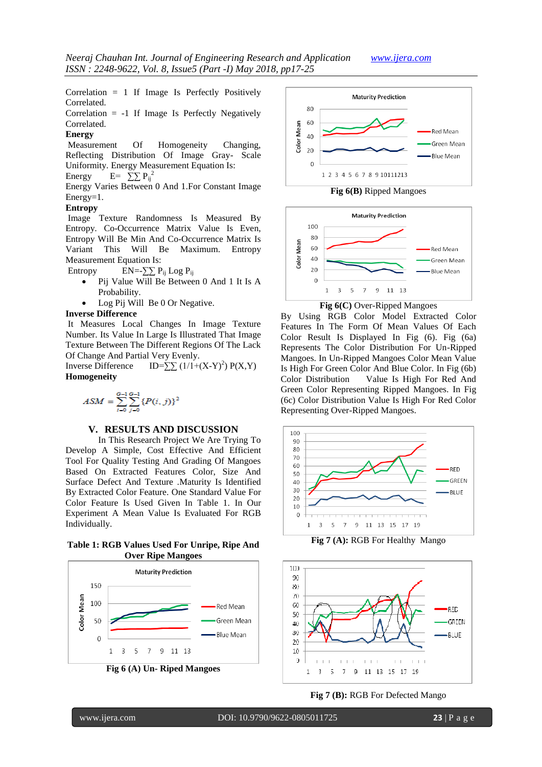Correlation  $= 1$  If Image Is Perfectly Positively Correlated.

Correlation = -1 If Image Is Perfectly Negatively Correlated.

# **Energy**

Measurement Of Homogeneity Changing, Reflecting Distribution Of Image Gray- Scale Uniformity. Energy Measurement Equation Is: Energy  $E = \sum_{i=1}^{N} P_{ij}^2$ 

Energy Varies Between 0 And 1.For Constant Image Energy=1.

## **Entropy**

Image Texture Randomness Is Measured By Entropy. Co-Occurrence Matrix Value Is Even, Entropy Will Be Min And Co-Occurrence Matrix Is Variant This Will Be Maximum. Entropy Measurement Equation Is:

Entropy EN=- $\sum P_{ij}$  Log P<sub>ij</sub>

- Pij Value Will Be Between 0 And 1 It Is A Probability.
- Log Pij Will Be 0 Or Negative.

# **Inverse Difference**

It Measures Local Changes In Image Texture Number. Its Value In Large Is Illustrated That Image Texture Between The Different Regions Of The Lack Of Change And Partial Very Evenly.

Inverse Difference  $ID=\sum (1/(1+(X-Y)^2) P(X,Y)$ **Homogeneity**

$$
ASM = \sum_{i=0}^{G-1} \sum_{j=0}^{G-1} \{P(i,j)\}^2
$$

### **V. RESULTS AND DISCUSSION**

In This Research Project We Are Trying To Develop A Simple, Cost Effective And Efficient Tool For Quality Testing And Grading Of Mangoes Based On Extracted Features Color, Size And Surface Defect And Texture .Maturity Is Identified By Extracted Color Feature. One Standard Value For Color Feature Is Used Given In Table 1. In Our Experiment A Mean Value Is Evaluated For RGB Individually.

**Table 1: RGB Values Used For Unripe, Ripe And Over Ripe Mangoes**







**Fig 6(B)** Ripped Mangoes



**Fig 6(C)** Over-Ripped Mangoes

By Using RGB Color Model Extracted Color Features In The Form Of Mean Values Of Each Color Result Is Displayed In Fig (6). Fig (6a) Represents The Color Distribution For Un-Ripped Mangoes. In Un-Ripped Mangoes Color Mean Value Is High For Green Color And Blue Color. In Fig (6b) Color Distribution Value Is High For Red And Green Color Representing Ripped Mangoes. In Fig (6c) Color Distribution Value Is High For Red Color Representing Over-Ripped Mangoes.



**Fig 7 (A):** RGB For Healthy Mango



**Fig 7 (B):** RGB For Defected Mango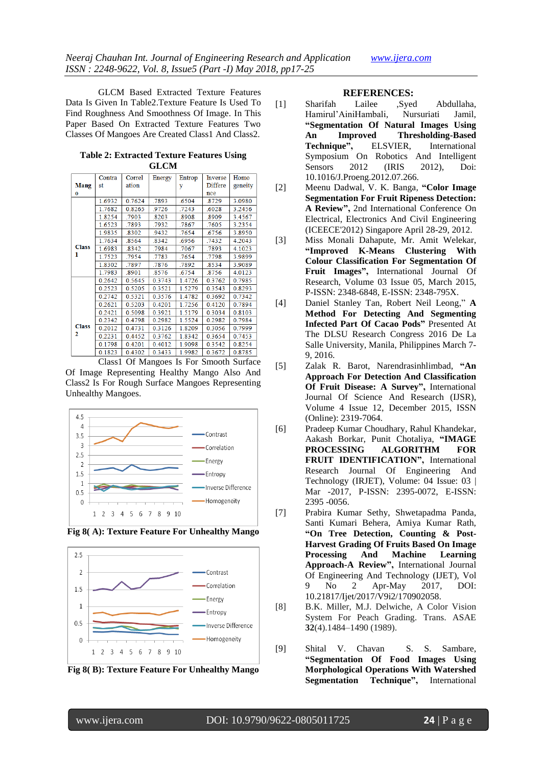GLCM Based Extracted Texture Features Data Is Given In Table2.Texture Feature Is Used To Find Roughness And Smoothness Of Image. In This Paper Based On Extracted Texture Features Two Classes Of Mangoes Are Created Class1 And Class2.

**Table 2: Extracted Texture Features Using GLCM**

|              | Contra | Correl | Energy | Entrop | Inverse | Homo    |
|--------------|--------|--------|--------|--------|---------|---------|
| <b>Mang</b>  | st     | ation  |        | y      | Differe | geneity |
| $\bf o$      |        |        |        |        | nce     |         |
|              | 1.6932 | 0.7624 | .7893  | .6504  | .8729   | 3.0980  |
|              | 1.7682 | 0.8265 | .9726  | .7243  | .6028   | 3.2456  |
|              | 1.8254 | .7903  | .8203  | .8908  | .8909   | 3.4567  |
|              | 1.6523 | .7893  | .7932  | .7867  | .7605   | 3.2354  |
|              | 1.9835 | .8302  | .9432  | .7654  | .6756   | 3.8950  |
|              | 1.7634 | .8564  | .8342  | .6956  | .7432   | 4.2043  |
| <b>Class</b> | 1.6983 | .8342  | .7984  | .7067  | .7893   | 4.1023  |
| 1            | 1.7523 | .7954  | .7783  | .7654  | .7798   | 3.9899  |
|              | 1.8302 | .7897  | .7876  | 7892   | 8534    | 3.9089  |
|              | 1.7983 | .8901  | .8576  | .6754  | .8756   | 4.0123  |
|              | 0.2642 | 0.5645 | 0.3743 | 1.4726 | 0.3762  | 0.7985  |
|              | 0.2523 | 0.5205 | 0.3521 | 1.5279 | 0.3543  | 0.8293  |
|              | 0.2742 | 0.5321 | 0.3576 | 1.4782 | 0.3692  | 0.7342  |
|              | 0.2621 | 0.5203 | 0.4201 | 1.7256 | 0.4120  | 0.7894  |
|              | 0.2421 | 0.5098 | 0.3921 | 1.5179 | 0.3034  | 0.8103  |
|              | 0.2342 | 0.4798 | 0.2982 | 1.5524 | 0.2982  | 0.7984  |
| <b>Class</b> | 0.2012 | 0.4731 | 0.3126 | 1.8209 | 0.3056  | 0.7999  |
| 2            | 0.2231 | 0.4452 | 0.3762 | 1.8342 | 0.3654  | 0.7453  |
|              | 0.1798 | 0.4201 | 0.4012 | 1.9098 | 0.3542  | 0.8254  |
|              | 0.1823 | 0.4302 | 0.3433 | 1.9982 | 0.3672  | 0.8785  |

Class1 Of Mangoes Is For Smooth Surface Of Image Representing Healthy Mango Also And Class2 Is For Rough Surface Mangoes Representing Unhealthy Mangoes.









#### **REFERENCES:**

- [1] Sharifah Lailee ,Syed Abdullaha, Hamirul"AiniHambali, Nursuriati Jamil, **"Segmentation Of Natural Images Using An Improved Thresholding-Based Technique",** ELSVIER, International Symposium On Robotics And Intelligent Sensors 2012 (IRIS 2012), Doi: 10.1016/J.Proeng.2012.07.266.
- [2] Meenu Dadwal, V. K. Banga, **"Color Image Segmentation For Fruit Ripeness Detection: A Review",** 2nd International Conference On Electrical, Electronics And Civil Engineering (ICEECE'2012) Singapore April 28-29, 2012.
- [3] Miss Monali Dahapute, Mr. Amit Welekar, **"Improved K-Means Clustering With Colour Classification For Segmentation Of Fruit Images",** International Journal Of Research, Volume 03 Issue 05, March 2015, P-ISSN: 2348-6848, E-ISSN: 2348-795X.
- [4] Daniel Stanley Tan, Robert Neil Leong," **A Method For Detecting And Segmenting Infected Part Of Cacao Pods"** Presented At The DLSU Research Congress 2016 De La Salle University, Manila, Philippines March 7- 9, 2016.
- [5] Zalak R. Barot, Narendrasinhlimbad, **"An Approach For Detection And Classification Of Fruit Disease: A Survey",** International Journal Of Science And Research (IJSR), Volume 4 Issue 12, December 2015, ISSN (Online): 2319-7064.
- [6] Pradeep Kumar Choudhary, Rahul Khandekar, Aakash Borkar, Punit Chotaliya, **"IMAGE PROCESSING ALGORITHM FOR FRUIT IDENTIFICATION",** International Research Journal Of Engineering And Technology (IRJET), Volume: 04 Issue: 03 | Mar -2017, P-ISSN: 2395-0072, E-ISSN: 2395 -0056.
- [7] Prabira Kumar Sethy, Shwetapadma Panda, Santi Kumari Behera, Amiya Kumar Rath, **"On Tree Detection, Counting & Post-Harvest Grading Of Fruits Based On Image Processing And Machine Learning Approach-A Review",** International Journal Of Engineering And Technology (IJET), Vol 9 No 2 Apr-May 2017, DOI: 10.21817/Ijet/2017/V9i2/170902058.
- [8] B.K. Miller, M.J. Delwiche, A Color Vision System For Peach Grading. Trans. ASAE **32**(4).1484–1490 (1989).
- [9] Shital V. Chavan S. S. Sambare, **"Segmentation Of Food Images Using Morphological Operations With Watershed Segmentation Technique",** International